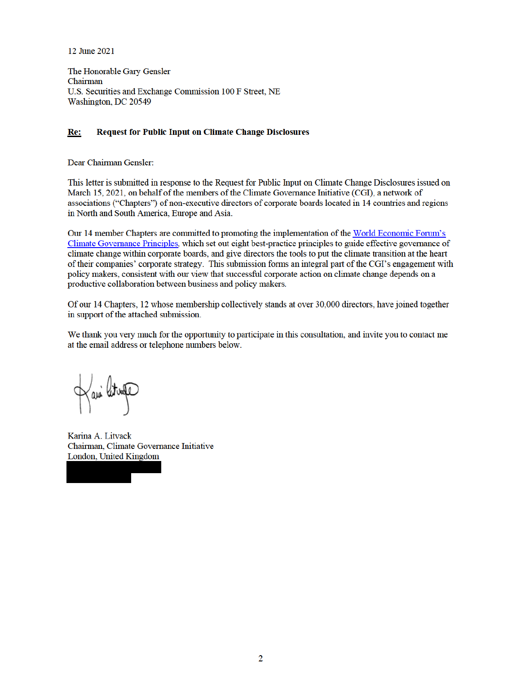12 June 2021

The Honorable Gary Gensler Chairman U.S. Securities and Exchange Commission 100 F Street, NE Washington, DC 20549

#### Re: **Request for Public Input on Climate Change Disclosures**

Dear Chairman Gensler:

This letter is submitted in response to the Request for Public Input on Climate Change Disclosures issued on March 15, 2021, on behalf of the members of the Climate Governance Initiative (CGI), a network of associations ("Chapters") of non-executive directors of corporate boards located in 14 countries and regions in North and South America, Europe and Asia.

Our 14 member Chapters are committed to promoting the implementation of the World Economic Forum's Climate Governance Principles, which set out eight best-practice principles to guide effective governance of climate change within corporate boards, and give directors the tools to put the climate transition at the heart of their companies' corporate strategy. This submission forms an integral part of the CGI's engagement with policy makers, consistent with our view that successful corporate action on climate change depends on a productive collaboration between business and policy makers.

Of our 14 Chapters, 12 whose membership collectively stands at over 30,000 directors, have joined together in support of the attached submission.

We thank you very much for the opportunity to participate in this consultation, and invite you to contact me at the email address or telephone numbers below.

Kani litura

Karina A. Litvack Chairman, Climate Governance Initiative London, United Kingdom

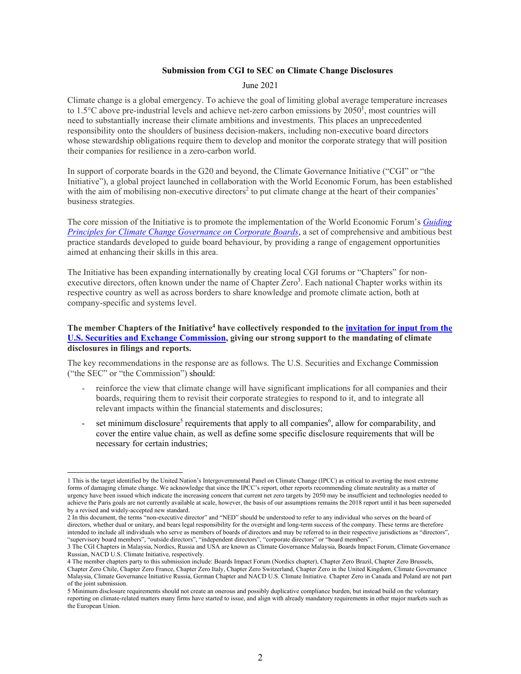### **Submission from CGI to SEC on Climate Change Disclosures**

#### June 2021

Climate change is a global emergency. To achieve the goal of limiting global average temperature increases to 1.5 $^{\circ}$ C above pre-industrial levels and achieve net-zero carbon emissions by 2050<sup>1</sup>, most countries will need to substantially increase their climate ambitions and investments. This places an unprecedented responsibility onto the shoulders of business decision-makers, including non-executive board directors whose stewardship obligations require them to develop and monitor the corporate strategy that will position their companies for resilience in a zero-carbon world.

In support of corporate boards in the G20 and beyond, the Climate Governance Initiative ("CGI" or "the Initiative"), a global project launched in collaboration with the World Economic Forum, has been established with the aim of mobilising non-executive directors<sup>2</sup> to put climate change at the heart of their companies' business strategies.

The core mission of the Initiative is to promote the implementation of the World Economic Forum's *Guiding Principles for Climate Change Governance on Corporate Boards*, a set of comprehensive and ambitious best practice standards developed to guide board behaviour, by providing a range of engagement opportunities aimed at enhancing their skills in this area.

The Initiative has been expanding internationally by creating local CGI forums or "Chapters" for nonexecutive directors, often known under the name of Chapter Zero<sup>3</sup>. Each national Chapter works within its respective country as well as across borders to share knowledge and promote climate action, both at company-specific and systems level.

## The member Chapters of the Initiative<sup>4</sup> have collectively responded to the *invitation for input from the* **U.S. Securities and Exchange Commission, giving our strong support to the mandating of climate disclosures in filings and reports.**

The key recommendations in the response are as follows. The U.S. Securities and Exchange Commission ("the SEC" or "the Commission") should:

- reinforce the view that climate change will have significant implications for all companies and their boards, requiring them to revisit their corporate strategies to respond to it, and to integrate all relevant impacts within the financial statements and disclosures;
- set minimum disclosure<sup>5</sup> requirements that apply to all companies<sup>6</sup>, allow for comparability, and cover the entire value chain, as well as define some specific disclosure requirements that will be necessary for certain industries;

<sup>1</sup> This is the target identified by the United Nation's Intergovernmental Panel on Climate Change (IPCC) as critical to averting the most extreme forms of damaging climate change. We acknowledge that since the IPCC's report, other reports recommending climate neutrality as a matter of urgency have been issued which indicate the increasing concern that current net zero targets by 2050 may be insufficient and technologies needed to achieve the Paris goals are not currently available at scale, however, the basis of our assumptions remains the 2018 report until it has been superseded by a revised and widely-accepted new standard.

<sup>2</sup> In this document, the terms "non-executive director" and "NED" should be understood to refer to any individual who serves on the board of directors, whether dual or unitary, and bears legal responsibility for the oversight and long-term success of the company. These terms are therefore intended to include all individuals who serve as members of boards of directors and may be referred to in their respective jurisdictions as "directors", "supervisory board members", "outside directors", "independent directors", "corporate directors" or "board members".

<sup>3</sup> The CGI Chapters in Malaysia, Nordics, Russia and USA are known as Climate Governance Malaysia, Boards Impact Forum, Climate Governance Russian, NACD U.S. Climate Initiative, respectively.

<sup>4</sup> The member chapters party to this submission include: Boards Impact Forum (Nordics chapter), Chapter Zero Brazil, Chapter Zero Brussels, Chapter Zero Chile, Chapter Zero France, Chapter Zero Italy, Chapter Zero Switzerland, Chapter Zero in the United Kingdom, Climate Governance Malaysia, Climate Governance Initiative Russia, German Chapter and NACD U.S. Climate Initiative. Chapter Zero in Canada and Poland are not part of the joint submission.<br>5 Minimum disclosure requirements should not create an onerous and possibly duplicative compliance burden, but instead build on the voluntary

reporting on climate-related matters many firms have started to issue, and align with already mandatory requirements in other major markets such as the European Union.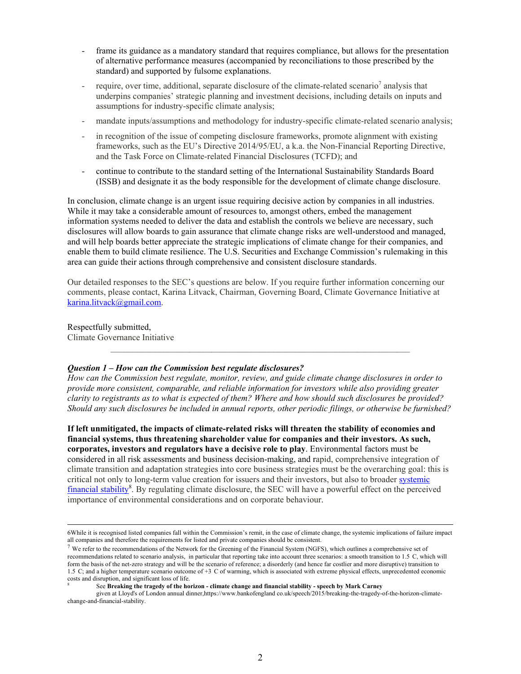- frame its guidance as a mandatory standard that requires compliance, but allows for the presentation of alternative performance measures (accompanied by reconciliations to those prescribed by the standard) and supported by fulsome explanations.
- require, over time, additional, separate disclosure of the climate-related scenario<sup>7</sup> analysis that underpins companies' strategic planning and investment decisions, including details on inputs and assumptions for industry-specific climate analysis;
- mandate inputs/assumptions and methodology for industry-specific climate-related scenario analysis;
- in recognition of the issue of competing disclosure frameworks, promote alignment with existing frameworks, such as the EU's Directive 2014/95/EU, a k.a. the Non-Financial Reporting Directive, and the Task Force on Climate-related Financial Disclosures (TCFD); and
- continue to contribute to the standard setting of the International Sustainability Standards Board (ISSB) and designate it as the body responsible for the development of climate change disclosure.

In conclusion, climate change is an urgent issue requiring decisive action by companies in all industries. While it may take a considerable amount of resources to, amongst others, embed the management information systems needed to deliver the data and establish the controls we believe are necessary, such disclosures will allow boards to gain assurance that climate change risks are well-understood and managed, and will help boards better appreciate the strategic implications of climate change for their companies, and enable them to build climate resilience. The U.S. Securities and Exchange Commission's rulemaking in this area can guide their actions through comprehensive and consistent disclosure standards.

Our detailed responses to the SEC's questions are below. If you require further information concerning our comments, please contact, Karina Litvack, Chairman, Governing Board, Climate Governance Initiative at karina.litvack@gmail.com.

Respectfully submitted, Climate Governance Initiative

# *Question 1 – How can the Commission best regulate disclosures?*

*How can the Commission best regulate, monitor, review, and guide climate change disclosures in order to provide more consistent, comparable, and reliable information for investors while also providing greater clarity to registrants as to what is expected of them? Where and how should such disclosures be provided? Should any such disclosures be included in annual reports, other periodic filings, or otherwise be furnished?* 

 $\mathcal{L}_\text{max} = \mathcal{L}_\text{max} = \mathcal{L}_\text{max} = \mathcal{L}_\text{max} = \mathcal{L}_\text{max} = \mathcal{L}_\text{max} = \mathcal{L}_\text{max} = \mathcal{L}_\text{max} = \mathcal{L}_\text{max} = \mathcal{L}_\text{max} = \mathcal{L}_\text{max} = \mathcal{L}_\text{max} = \mathcal{L}_\text{max} = \mathcal{L}_\text{max} = \mathcal{L}_\text{max} = \mathcal{L}_\text{max} = \mathcal{L}_\text{max} = \mathcal{L}_\text{max} = \mathcal{$ 

**If left unmitigated, the impacts of climate-related risks will threaten the stability of economies and financial systems, thus threatening shareholder value for companies and their investors. As such, corporates, investors and regulators have a decisive role to play**. Environmental factors must be considered in all risk assessments and business decision-making, and rapid, comprehensive integration of climate transition and adaptation strategies into core business strategies must be the overarching goal: this is critical not only to long-term value creation for issuers and their investors, but also to broader systemic financial stability<sup>8</sup>. By regulating climate disclosure, the SEC will have a powerful effect on the perceived importance of environmental considerations and on corporate behaviour.

See **Breaking the tragedy of the horizon - climate change and financial stability - speech by Mark Carney**

 given at Lloyd's of London annual dinner,https://www.bankofengland co.uk/speech/2015/breaking-the-tragedy-of-the-horizon-climatechange-and-financial-stability.

 <sup>6</sup>While it is recognised listed companies fall within the Commission's remit, in the case of climate change, the systemic implications of failure impact all companies and therefore the requirements for listed and private companies should be consistent.

 $7$  We refer to the recommendations of the Network for the Greening of the Financial System (NGFS), which outlines a comprehensive set of recommendations related to scenario analysis, in particular that reporting take into account three scenarios: a smooth transition to 1.5 C, which will form the basis of the net-zero strategy and will be the scenario of reference; a disorderly (and hence far costlier and more disruptive) transition to 1.5 C; and a higher temperature scenario outcome of +3 C of warming, which is associated with extreme physical effects, unprecedented economic costs and disruption, and significant loss of life. 8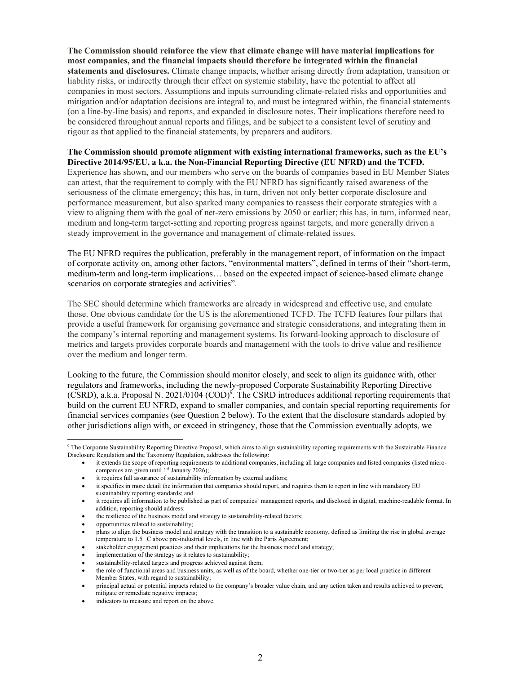**The Commission should reinforce the view that climate change will have material implications for most companies, and the financial impacts should therefore be integrated within the financial statements and disclosures.** Climate change impacts, whether arising directly from adaptation, transition or liability risks, or indirectly through their effect on systemic stability, have the potential to affect all companies in most sectors. Assumptions and inputs surrounding climate-related risks and opportunities and mitigation and/or adaptation decisions are integral to, and must be integrated within, the financial statements (on a line-by-line basis) and reports, and expanded in disclosure notes. Their implications therefore need to be considered throughout annual reports and filings, and be subject to a consistent level of scrutiny and rigour as that applied to the financial statements, by preparers and auditors.

**The Commission should promote alignment with existing international frameworks, such as the EU's Directive 2014/95/EU, a k.a. the Non-Financial Reporting Directive (EU NFRD) and the TCFD.** Experience has shown, and our members who serve on the boards of companies based in EU Member States can attest, that the requirement to comply with the EU NFRD has significantly raised awareness of the seriousness of the climate emergency; this has, in turn, driven not only better corporate disclosure and performance measurement, but also sparked many companies to reassess their corporate strategies with a view to aligning them with the goal of net-zero emissions by 2050 or earlier; this has, in turn, informed near, medium and long-term target-setting and reporting progress against targets, and more generally driven a steady improvement in the governance and management of climate-related issues.

The EU NFRD requires the publication, preferably in the management report, of information on the impact of corporate activity on, among other factors, "environmental matters", defined in terms of their "short-term, medium-term and long-term implications… based on the expected impact of science-based climate change scenarios on corporate strategies and activities".

The SEC should determine which frameworks are already in widespread and effective use, and emulate those. One obvious candidate for the US is the aforementioned TCFD. The TCFD features four pillars that provide a useful framework for organising governance and strategic considerations, and integrating them in the company's internal reporting and management systems. Its forward-looking approach to disclosure of metrics and targets provides corporate boards and management with the tools to drive value and resilience over the medium and longer term.

Looking to the future, the Commission should monitor closely, and seek to align its guidance with, other regulators and frameworks, including the newly-proposed Corporate Sustainability Reporting Directive  $(CSRD)$ , a.k.a. Proposal N. 2021/0104  $(COD)^9$ . The CSRD introduces additional reporting requirements that build on the current EU NFRD, expand to smaller companies, and contain special reporting requirements for financial services companies (see Question 2 below). To the extent that the disclosure standards adopted by other jurisdictions align with, or exceed in stringency, those that the Commission eventually adopts, we

 $\overline{a}$ 9 The Corporate Sustainability Reporting Directive Proposal, which aims to align sustainability reporting requirements with the Sustainable Finance Disclosure Regulation and the Taxonomy Regulation, addresses the following:

it extends the scope of reporting requirements to additional companies, including all large companies and listed companies (listed microcompanies are given until 1<sup>st</sup> January 2026);

it requires full assurance of sustainability information by external auditors;

it specifies in more detail the information that companies should report, and requires them to report in line with mandatory EU sustainability reporting standards; and

it requires all information to be published as part of companies' management reports, and disclosed in digital, machine-readable format. In addition, reporting should address:

the resilience of the business model and strategy to sustainability-related factors;

opportunities related to sustainability;

plans to align the business model and strategy with the transition to a sustainable economy, defined as limiting the rise in global average temperature to 1.5 C above pre-industrial levels, in line with the Paris Agreement;

stakeholder engagement practices and their implications for the business model and strategy;

implementation of the strategy as it relates to sustainability;

sustainability-related targets and progress achieved against them;

the role of functional areas and business units, as well as of the board, whether one-tier or two-tier as per local practice in different Member States, with regard to sustainability;

principal actual or potential impacts related to the company's broader value chain, and any action taken and results achieved to prevent, mitigate or remediate negative impacts;

indicators to measure and report on the above.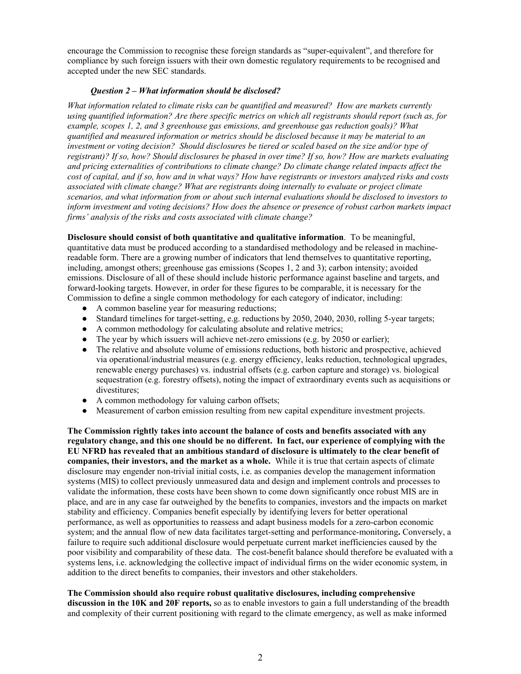encourage the Commission to recognise these foreign standards as "super-equivalent", and therefore for compliance by such foreign issuers with their own domestic regulatory requirements to be recognised and accepted under the new SEC standards.

# *Question 2 – What information should be disclosed?*

*What information related to climate risks can be quantified and measured? How are markets currently using quantified information? Are there specific metrics on which all registrants should report (such as, for example, scopes 1, 2, and 3 greenhouse gas emissions, and greenhouse gas reduction goals)? What quantified and measured information or metrics should be disclosed because it may be material to an investment or voting decision? Should disclosures be tiered or scaled based on the size and/or type of registrant)? If so, how? Should disclosures be phased in over time? If so, how? How are markets evaluating and pricing externalities of contributions to climate change? Do climate change related impacts affect the cost of capital, and if so, how and in what ways? How have registrants or investors analyzed risks and costs associated with climate change? What are registrants doing internally to evaluate or project climate scenarios, and what information from or about such internal evaluations should be disclosed to investors to inform investment and voting decisions? How does the absence or presence of robust carbon markets impact firms' analysis of the risks and costs associated with climate change?* 

**Disclosure should consist of both quantitative and qualitative information**. To be meaningful, quantitative data must be produced according to a standardised methodology and be released in machinereadable form. There are a growing number of indicators that lend themselves to quantitative reporting, including, amongst others; greenhouse gas emissions (Scopes 1, 2 and 3); carbon intensity; avoided emissions. Disclosure of all of these should include historic performance against baseline and targets, and forward-looking targets. However, in order for these figures to be comparable, it is necessary for the Commission to define a single common methodology for each category of indicator, including:

- A common baseline year for measuring reductions;
- Standard timelines for target-setting, e.g. reductions by 2050, 2040, 2030, rolling 5-year targets;
- A common methodology for calculating absolute and relative metrics;
- The year by which issuers will achieve net-zero emissions (e.g. by 2050 or earlier);
- The relative and absolute volume of emissions reductions, both historic and prospective, achieved via operational/industrial measures (e.g. energy efficiency, leaks reduction, technological upgrades, renewable energy purchases) vs. industrial offsets (e.g. carbon capture and storage) vs. biological sequestration (e.g. forestry offsets), noting the impact of extraordinary events such as acquisitions or divestitures;
- A common methodology for valuing carbon offsets;
- Measurement of carbon emission resulting from new capital expenditure investment projects.

**The Commission rightly takes into account the balance of costs and benefits associated with any regulatory change, and this one should be no different. In fact, our experience of complying with the EU NFRD has revealed that an ambitious standard of disclosure is ultimately to the clear benefit of companies, their investors, and the market as a whole.** While it is true that certain aspects of climate disclosure may engender non-trivial initial costs, i.e. as companies develop the management information systems (MIS) to collect previously unmeasured data and design and implement controls and processes to validate the information, these costs have been shown to come down significantly once robust MIS are in place, and are in any case far outweighed by the benefits to companies, investors and the impacts on market stability and efficiency. Companies benefit especially by identifying levers for better operational performance, as well as opportunities to reassess and adapt business models for a zero-carbon economic system; and the annual flow of new data facilitates target-setting and performance-monitoring**.** Conversely, a failure to require such additional disclosure would perpetuate current market inefficiencies caused by the poor visibility and comparability of these data. The cost-benefit balance should therefore be evaluated with a systems lens, i.e. acknowledging the collective impact of individual firms on the wider economic system, in addition to the direct benefits to companies, their investors and other stakeholders.

**The Commission should also require robust qualitative disclosures, including comprehensive discussion in the 10K and 20F reports,** so as to enable investors to gain a full understanding of the breadth and complexity of their current positioning with regard to the climate emergency, as well as make informed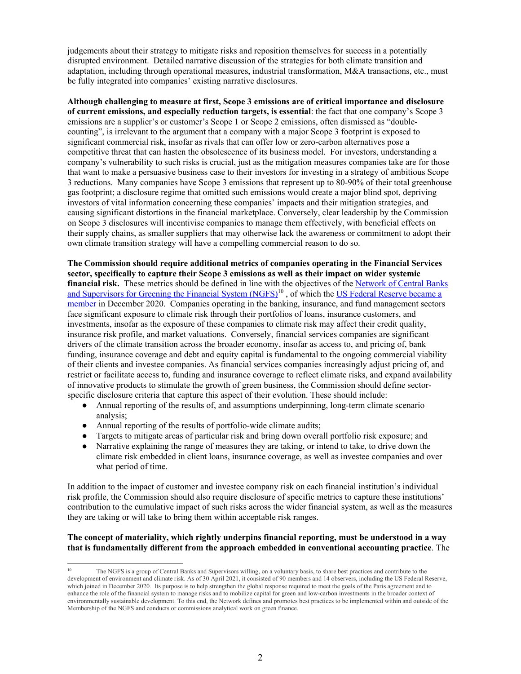judgements about their strategy to mitigate risks and reposition themselves for success in a potentially disrupted environment. Detailed narrative discussion of the strategies for both climate transition and adaptation, including through operational measures, industrial transformation, M&A transactions, etc., must be fully integrated into companies' existing narrative disclosures.

**Although challenging to measure at first, Scope 3 emissions are of critical importance and disclosure of current emissions, and especially reduction targets, is essential**: the fact that one company's Scope 3 emissions are a supplier's or customer's Scope 1 or Scope 2 emissions, often dismissed as "doublecounting", is irrelevant to the argument that a company with a major Scope 3 footprint is exposed to significant commercial risk, insofar as rivals that can offer low or zero-carbon alternatives pose a competitive threat that can hasten the obsolescence of its business model. For investors, understanding a company's vulnerability to such risks is crucial, just as the mitigation measures companies take are for those that want to make a persuasive business case to their investors for investing in a strategy of ambitious Scope 3 reductions. Many companies have Scope 3 emissions that represent up to 80-90% of their total greenhouse gas footprint; a disclosure regime that omitted such emissions would create a major blind spot, depriving investors of vital information concerning these companies' impacts and their mitigation strategies, and causing significant distortions in the financial marketplace. Conversely, clear leadership by the Commission on Scope 3 disclosures will incentivise companies to manage them effectively, with beneficial effects on their supply chains, as smaller suppliers that may otherwise lack the awareness or commitment to adopt their own climate transition strategy will have a compelling commercial reason to do so.

**The Commission should require additional metrics of companies operating in the Financial Services sector, specifically to capture their Scope 3 emissions as well as their impact on wider systemic financial risk.** These metrics should be defined in line with the objectives of the Network of Central Banks and Supervisors for Greening the Financial System (NGFS)<sup>10</sup>, of which the US Federal Reserve became a member in December 2020. Companies operating in the banking, insurance, and fund management sectors face significant exposure to climate risk through their portfolios of loans, insurance customers, and investments, insofar as the exposure of these companies to climate risk may affect their credit quality, insurance risk profile, and market valuations. Conversely, financial services companies are significant drivers of the climate transition across the broader economy, insofar as access to, and pricing of, bank funding, insurance coverage and debt and equity capital is fundamental to the ongoing commercial viability of their clients and investee companies. As financial services companies increasingly adjust pricing of, and restrict or facilitate access to, funding and insurance coverage to reflect climate risks, and expand availability of innovative products to stimulate the growth of green business, the Commission should define sectorspecific disclosure criteria that capture this aspect of their evolution. These should include:

- Annual reporting of the results of, and assumptions underpinning, long-term climate scenario analysis;
- Annual reporting of the results of portfolio-wide climate audits;

 $\overline{a}$ 

- Targets to mitigate areas of particular risk and bring down overall portfolio risk exposure; and
- Narrative explaining the range of measures they are taking, or intend to take, to drive down the climate risk embedded in client loans, insurance coverage, as well as investee companies and over what period of time.

In addition to the impact of customer and investee company risk on each financial institution's individual risk profile, the Commission should also require disclosure of specific metrics to capture these institutions' contribution to the cumulative impact of such risks across the wider financial system, as well as the measures they are taking or will take to bring them within acceptable risk ranges.

# **The concept of materiality, which rightly underpins financial reporting, must be understood in a way that is fundamentally different from the approach embedded in conventional accounting practice**. The

<sup>10</sup> The NGFS is a group of Central Banks and Supervisors willing, on a voluntary basis, to share best practices and contribute to the development of environment and climate risk. As of 30 April 2021, it consisted of 90 members and 14 observers, including the US Federal Reserve, which joined in December 2020. Its purpose is to help strengthen the global response required to meet the goals of the Paris agreement and to enhance the role of the financial system to manage risks and to mobilize capital for green and low-carbon investments in the broader context of environmentally sustainable development. To this end, the Network defines and promotes best practices to be implemented within and outside of the Membership of the NGFS and conducts or commissions analytical work on green finance.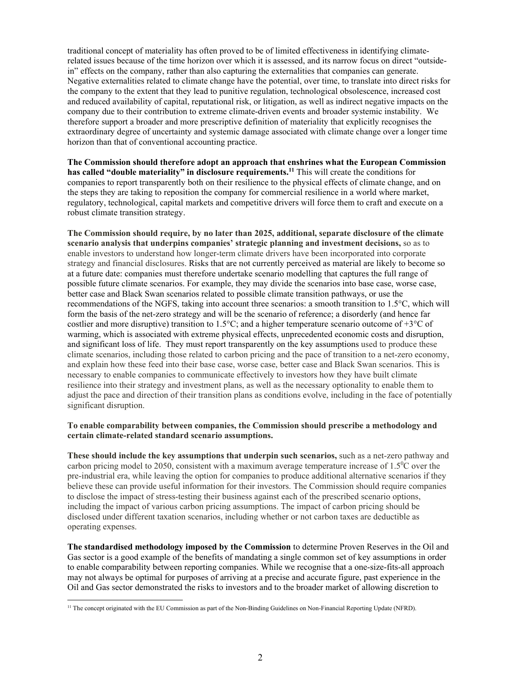traditional concept of materiality has often proved to be of limited effectiveness in identifying climaterelated issues because of the time horizon over which it is assessed, and its narrow focus on direct "outsidein" effects on the company, rather than also capturing the externalities that companies can generate. Negative externalities related to climate change have the potential, over time, to translate into direct risks for the company to the extent that they lead to punitive regulation, technological obsolescence, increased cost and reduced availability of capital, reputational risk, or litigation, as well as indirect negative impacts on the company due to their contribution to extreme climate-driven events and broader systemic instability. We therefore support a broader and more prescriptive definition of materiality that explicitly recognises the extraordinary degree of uncertainty and systemic damage associated with climate change over a longer time horizon than that of conventional accounting practice.

**The Commission should therefore adopt an approach that enshrines what the European Commission**  has called "double materiality" in disclosure requirements.<sup>11</sup> This will create the conditions for companies to report transparently both on their resilience to the physical effects of climate change, and on the steps they are taking to reposition the company for commercial resilience in a world where market, regulatory, technological, capital markets and competitive drivers will force them to craft and execute on a robust climate transition strategy.

**The Commission should require, by no later than 2025, additional, separate disclosure of the climate scenario analysis that underpins companies' strategic planning and investment decisions,** so as to enable investors to understand how longer-term climate drivers have been incorporated into corporate strategy and financial disclosures. Risks that are not currently perceived as material are likely to become so at a future date: companies must therefore undertake scenario modelling that captures the full range of possible future climate scenarios. For example, they may divide the scenarios into base case, worse case, better case and Black Swan scenarios related to possible climate transition pathways, or use the recommendations of the NGFS, taking into account three scenarios: a smooth transition to 1.5°C, which will form the basis of the net-zero strategy and will be the scenario of reference; a disorderly (and hence far costlier and more disruptive) transition to 1.5 $\degree$ C; and a higher temperature scenario outcome of +3 $\degree$ C of warming, which is associated with extreme physical effects, unprecedented economic costs and disruption, and significant loss of life. They must report transparently on the key assumptions used to produce these climate scenarios, including those related to carbon pricing and the pace of transition to a net-zero economy, and explain how these feed into their base case, worse case, better case and Black Swan scenarios. This is necessary to enable companies to communicate effectively to investors how they have built climate resilience into their strategy and investment plans, as well as the necessary optionality to enable them to adjust the pace and direction of their transition plans as conditions evolve, including in the face of potentially significant disruption.

# **To enable comparability between companies, the Commission should prescribe a methodology and certain climate-related standard scenario assumptions.**

**These should include the key assumptions that underpin such scenarios,** such as a net-zero pathway and carbon pricing model to 2050, consistent with a maximum average temperature increase of  $1.5^{\circ}$ C over the pre-industrial era, while leaving the option for companies to produce additional alternative scenarios if they believe these can provide useful information for their investors. The Commission should require companies to disclose the impact of stress-testing their business against each of the prescribed scenario options, including the impact of various carbon pricing assumptions. The impact of carbon pricing should be disclosed under different taxation scenarios, including whether or not carbon taxes are deductible as operating expenses.

**The standardised methodology imposed by the Commission** to determine Proven Reserves in the Oil and Gas sector is a good example of the benefits of mandating a single common set of key assumptions in order to enable comparability between reporting companies. While we recognise that a one-size-fits-all approach may not always be optimal for purposes of arriving at a precise and accurate figure, past experience in the Oil and Gas sector demonstrated the risks to investors and to the broader market of allowing discretion to

 $\overline{a}$ <sup>11</sup> The concept originated with the EU Commission as part of the Non-Binding Guidelines on Non-Financial Reporting Update (NFRD).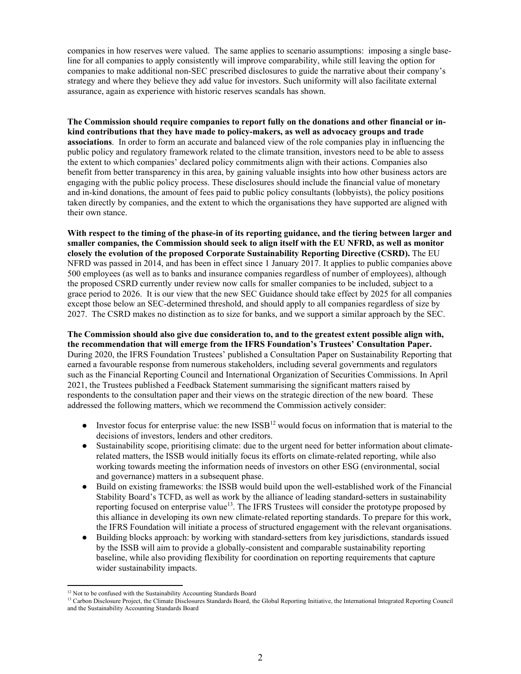companies in how reserves were valued. The same applies to scenario assumptions: imposing a single baseline for all companies to apply consistently will improve comparability, while still leaving the option for companies to make additional non-SEC prescribed disclosures to guide the narrative about their company's strategy and where they believe they add value for investors. Such uniformity will also facilitate external assurance, again as experience with historic reserves scandals has shown.

**The Commission should require companies to report fully on the donations and other financial or inkind contributions that they have made to policy-makers, as well as advocacy groups and trade associations**. In order to form an accurate and balanced view of the role companies play in influencing the public policy and regulatory framework related to the climate transition, investors need to be able to assess the extent to which companies' declared policy commitments align with their actions. Companies also benefit from better transparency in this area, by gaining valuable insights into how other business actors are engaging with the public policy process. These disclosures should include the financial value of monetary and in-kind donations, the amount of fees paid to public policy consultants (lobbyists), the policy positions taken directly by companies, and the extent to which the organisations they have supported are aligned with their own stance.

**With respect to the timing of the phase-in of its reporting guidance, and the tiering between larger and smaller companies, the Commission should seek to align itself with the EU NFRD, as well as monitor closely the evolution of the proposed Corporate Sustainability Reporting Directive (CSRD).** The EU NFRD was passed in 2014, and has been in effect since 1 January 2017. It applies to public companies above 500 employees (as well as to banks and insurance companies regardless of number of employees), although the proposed CSRD currently under review now calls for smaller companies to be included, subject to a grace period to 2026. It is our view that the new SEC Guidance should take effect by 2025 for all companies except those below an SEC-determined threshold, and should apply to all companies regardless of size by 2027. The CSRD makes no distinction as to size for banks, and we support a similar approach by the SEC.

**The Commission should also give due consideration to, and to the greatest extent possible align with, the recommendation that will emerge from the IFRS Foundation's Trustees' Consultation Paper.**  During 2020, the IFRS Foundation Trustees' published a Consultation Paper on Sustainability Reporting that earned a favourable response from numerous stakeholders, including several governments and regulators such as the Financial Reporting Council and International Organization of Securities Commissions. In April 2021, the Trustees published a Feedback Statement summarising the significant matters raised by respondents to the consultation paper and their views on the strategic direction of the new board. These addressed the following matters, which we recommend the Commission actively consider:

- Investor focus for enterprise value: the new  $ISSB<sup>12</sup>$  would focus on information that is material to the decisions of investors, lenders and other creditors.
- Sustainability scope, prioritising climate: due to the urgent need for better information about climaterelated matters, the ISSB would initially focus its efforts on climate-related reporting, while also working towards meeting the information needs of investors on other ESG (environmental, social and governance) matters in a subsequent phase.
- Build on existing frameworks: the ISSB would build upon the well-established work of the Financial Stability Board's TCFD, as well as work by the alliance of leading standard-setters in sustainability reporting focused on enterprise value<sup>13</sup>. The IFRS Trustees will consider the prototype proposed by this alliance in developing its own new climate-related reporting standards. To prepare for this work, the IFRS Foundation will initiate a process of structured engagement with the relevant organisations.
- Building blocks approach: by working with standard-setters from key jurisdictions, standards issued by the ISSB will aim to provide a globally-consistent and comparable sustainability reporting baseline, while also providing flexibility for coordination on reporting requirements that capture wider sustainability impacts.

<sup>&</sup>lt;sup>12</sup> Not to be confused with the Sustainability Accounting Standards Board

<sup>&</sup>lt;sup>13</sup> Carbon Disclosure Project, the Climate Disclosures Standards Board, the Global Reporting Initiative, the International Integrated Reporting Council and the Sustainability Accounting Standards Board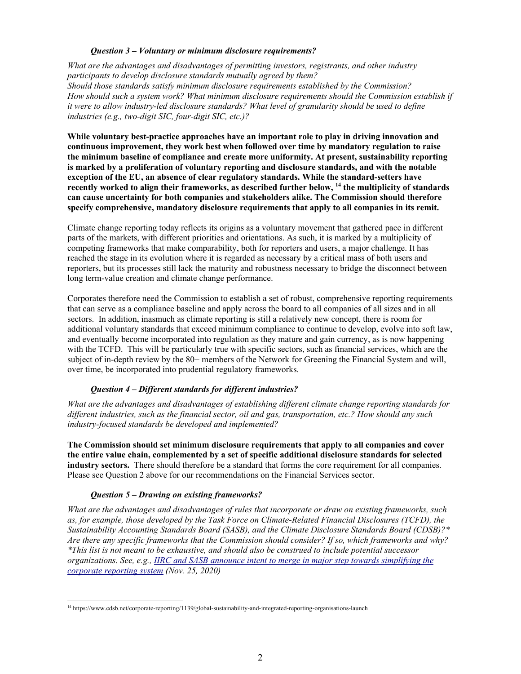# *Question 3 – Voluntary or minimum disclosure requirements?*

*What are the advantages and disadvantages of permitting investors, registrants, and other industry participants to develop disclosure standards mutually agreed by them? Should those standards satisfy minimum disclosure requirements established by the Commission? How should such a system work? What minimum disclosure requirements should the Commission establish if it were to allow industry-led disclosure standards? What level of granularity should be used to define industries (e.g., two-digit SIC, four-digit SIC, etc.)?* 

**While voluntary best-practice approaches have an important role to play in driving innovation and continuous improvement, they work best when followed over time by mandatory regulation to raise the minimum baseline of compliance and create more uniformity. At present, sustainability reporting is marked by a proliferation of voluntary reporting and disclosure standards, and with the notable exception of the EU, an absence of clear regulatory standards. While the standard-setters have recently worked to align their frameworks, as described further below, 14 the multiplicity of standards can cause uncertainty for both companies and stakeholders alike. The Commission should therefore specify comprehensive, mandatory disclosure requirements that apply to all companies in its remit.**

Climate change reporting today reflects its origins as a voluntary movement that gathered pace in different parts of the markets, with different priorities and orientations. As such, it is marked by a multiplicity of competing frameworks that make comparability, both for reporters and users, a major challenge. It has reached the stage in its evolution where it is regarded as necessary by a critical mass of both users and reporters, but its processes still lack the maturity and robustness necessary to bridge the disconnect between long term-value creation and climate change performance.

Corporates therefore need the Commission to establish a set of robust, comprehensive reporting requirements that can serve as a compliance baseline and apply across the board to all companies of all sizes and in all sectors. In addition, inasmuch as climate reporting is still a relatively new concept, there is room for additional voluntary standards that exceed minimum compliance to continue to develop, evolve into soft law, and eventually become incorporated into regulation as they mature and gain currency, as is now happening with the TCFD. This will be particularly true with specific sectors, such as financial services, which are the subject of in-depth review by the 80+ members of the Network for Greening the Financial System and will, over time, be incorporated into prudential regulatory frameworks.

# *Question 4 – Different standards for different industries?*

*What are the advantages and disadvantages of establishing different climate change reporting standards for different industries, such as the financial sector, oil and gas, transportation, etc.? How should any such industry-focused standards be developed and implemented?* 

**The Commission should set minimum disclosure requirements that apply to all companies and cover the entire value chain, complemented by a set of specific additional disclosure standards for selected industry sectors.** There should therefore be a standard that forms the core requirement for all companies. Please see Question 2 above for our recommendations on the Financial Services sector.

# *Question 5 – Drawing on existing frameworks?*

*What are the advantages and disadvantages of rules that incorporate or draw on existing frameworks, such as, for example, those developed by the Task Force on Climate-Related Financial Disclosures (TCFD), the Sustainability Accounting Standards Board (SASB), and the Climate Disclosure Standards Board (CDSB)?\* Are there any specific frameworks that the Commission should consider? If so, which frameworks and why? \*This list is not meant to be exhaustive, and should also be construed to include potential successor organizations. See, e.g., IIRC and SASB announce intent to merge in major step towards simplifying the corporate reporting system (Nov. 25, 2020)*

 $\overline{a}$ 14 https://www.cdsb.net/corporate-reporting/1139/global-sustainability-and-integrated-reporting-organisations-launch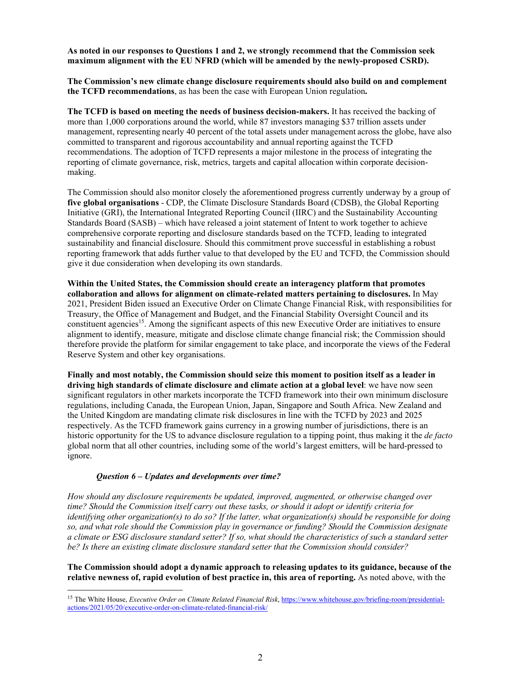**As noted in our responses to Questions 1 and 2, we strongly recommend that the Commission seek maximum alignment with the EU NFRD (which will be amended by the newly-proposed CSRD).** 

**The Commission's new climate change disclosure requirements should also build on and complement the TCFD recommendations**, as has been the case with European Union regulation**.**

**The TCFD is based on meeting the needs of business decision-makers.** It has received the backing of more than 1,000 corporations around the world, while 87 investors managing \$37 trillion assets under management, representing nearly 40 percent of the total assets under management across the globe, have also committed to transparent and rigorous accountability and annual reporting against the TCFD recommendations. The adoption of TCFD represents a major milestone in the process of integrating the reporting of climate governance, risk, metrics, targets and capital allocation within corporate decisionmaking.

The Commission should also monitor closely the aforementioned progress currently underway by a group of **five global organisations** - CDP, the Climate Disclosure Standards Board (CDSB), the Global Reporting Initiative (GRI), the International Integrated Reporting Council (IIRC) and the Sustainability Accounting Standards Board (SASB) – which have released a joint statement of Intent to work together to achieve comprehensive corporate reporting and disclosure standards based on the TCFD, leading to integrated sustainability and financial disclosure. Should this commitment prove successful in establishing a robust reporting framework that adds further value to that developed by the EU and TCFD, the Commission should give it due consideration when developing its own standards.

**Within the United States, the Commission should create an interagency platform that promotes collaboration and allows for alignment on climate-related matters pertaining to disclosures.** In May 2021, President Biden issued an Executive Order on Climate Change Financial Risk, with responsibilities for Treasury, the Office of Management and Budget, and the Financial Stability Oversight Council and its constituent agencies<sup>15</sup>. Among the significant aspects of this new Executive Order are initiatives to ensure alignment to identify, measure, mitigate and disclose climate change financial risk; the Commission should therefore provide the platform for similar engagement to take place, and incorporate the views of the Federal Reserve System and other key organisations.

**Finally and most notably, the Commission should seize this moment to position itself as a leader in driving high standards of climate disclosure and climate action at a global level**: we have now seen significant regulators in other markets incorporate the TCFD framework into their own minimum disclosure regulations, including Canada, the European Union, Japan, Singapore and South Africa. New Zealand and the United Kingdom are mandating climate risk disclosures in line with the TCFD by 2023 and 2025 respectively. As the TCFD framework gains currency in a growing number of jurisdictions, there is an historic opportunity for the US to advance disclosure regulation to a tipping point, thus making it the *de facto* global norm that all other countries, including some of the world's largest emitters, will be hard-pressed to ignore.

#### *Question 6 – Updates and developments over time?*

*How should any disclosure requirements be updated, improved, augmented, or otherwise changed over time? Should the Commission itself carry out these tasks, or should it adopt or identify criteria for identifying other organization(s) to do so? If the latter, what organization(s) should be responsible for doing so, and what role should the Commission play in governance or funding? Should the Commission designate a climate or ESG disclosure standard setter? If so, what should the characteristics of such a standard setter be? Is there an existing climate disclosure standard setter that the Commission should consider?* 

**The Commission should adopt a dynamic approach to releasing updates to its guidance, because of the relative newness of, rapid evolution of best practice in, this area of reporting.** As noted above, with the

<sup>&</sup>lt;sup>15</sup> The White House, *Executive Order on Climate Related Financial Risk*, https://www.whitehouse.gov/briefing-room/presidentialactions/2021/05/20/executive-order-on-climate-related-financial-risk/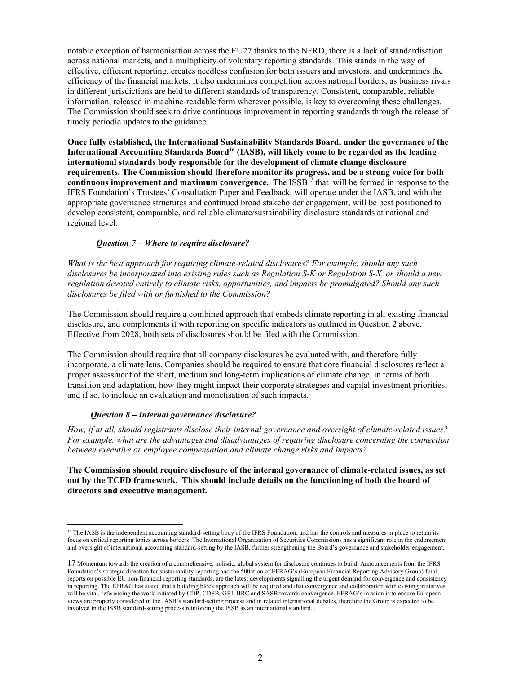notable exception of harmonisation across the EU27 thanks to the NFRD, there is a lack of standardisation across national markets, and a multiplicity of voluntary reporting standards. This stands in the way of effective, efficient reporting, creates needless confusion for both issuers and investors, and undermines the efficiency of the financial markets. It also undermines competition across national borders, as business rivals in different jurisdictions are held to different standards of transparency. Consistent, comparable, reliable information, released in machine-readable form wherever possible, is key to overcoming these challenges. The Commission should seek to drive continuous improvement in reporting standards through the release of timely periodic updates to the guidance.

**Once fully established, the International Sustainability Standards Board, under the governance of the**  International Accounting Standards Board<sup>16</sup> (IASB), will likely come to be regarded as the leading **international standards body responsible for the development of climate change disclosure requirements. The Commission should therefore monitor its progress, and be a strong voice for both continuous improvement and maximum convergence.** The ISSB<sup>17</sup> that will be formed in response to the IFRS Foundation's Trustees' Consultation Paper and Feedback, will operate under the IASB, and with the appropriate governance structures and continued broad stakeholder engagement, will be best positioned to develop consistent, comparable, and reliable climate/sustainability disclosure standards at national and regional level.

### *Question 7 – Where to require disclosure?*

*What is the best approach for requiring climate-related disclosures? For example, should any such disclosures be incorporated into existing rules such as Regulation S-K or Regulation S-X, or should a new regulation devoted entirely to climate risks, opportunities, and impacts be promulgated? Should any such disclosures be filed with or furnished to the Commission?* 

The Commission should require a combined approach that embeds climate reporting in all existing financial disclosure, and complements it with reporting on specific indicators as outlined in Question 2 above. Effective from 2028, both sets of disclosures should be filed with the Commission.

The Commission should require that all company disclosures be evaluated with, and therefore fully incorporate, a climate lens. Companies should be required to ensure that core financial disclosures reflect a proper assessment of the short, medium and long-term implications of climate change, in terms of both transition and adaptation, how they might impact their corporate strategies and capital investment priorities, and if so, to include an evaluation and monetisation of such impacts.

#### *Question 8 – Internal governance disclosure?*

 $\overline{a}$ 

*How, if at all, should registrants disclose their internal governance and oversight of climate-related issues? For example, what are the advantages and disadvantages of requiring disclosure concerning the connection between executive or employee compensation and climate change risks and impacts?* 

**The Commission should require disclosure of the internal governance of climate-related issues, as set out by the TCFD framework. This should include details on the functioning of both the board of directors and executive management.** 

<sup>&</sup>lt;sup>16</sup> The IASB is the independent accounting standard-setting body of the IFRS Foundation, and has the controls and measures in place to retain its focus on critical reporting topics across borders. The International Organization of Securities Commissions has a significant role in the endorsement and oversight of international accounting standard-setting by the IASB, further strengthening the Board's governance and stakeholder engagement.

<sup>17</sup> Momentum towards the creation of a comprehensive, holistic, global system for disclosure continues to build. Announcements from the IFRS Foundation's strategic direction for sustainability reporting and the 500ation of EFRAG's (European Financial Reporting Advisory Group) final reports on possible EU non-financial reporting standards, are the latest developments signalling the urgent demand for convergence and consistency in reporting. The EFRAG has stated that a building block approach will be required and that convergence and collaboration with existing initiatives will be vital, referencing the work initiated by CDP, CDSB, GRI, IIRC and SASB towards convergence. EFRAG's mission is to ensure European views are properly considered in the IASB's standard-setting process and in related international debates, therefore the Group is expected to be involved in the ISSB standard-setting process reinforcing the ISSB as an international standard. .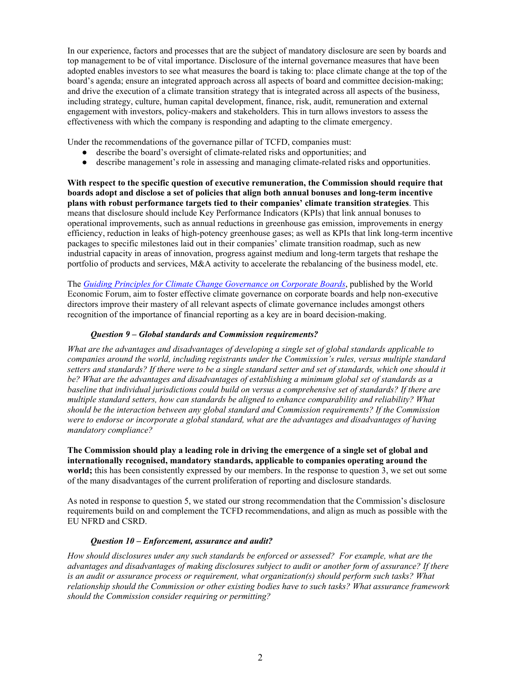In our experience, factors and processes that are the subject of mandatory disclosure are seen by boards and top management to be of vital importance. Disclosure of the internal governance measures that have been adopted enables investors to see what measures the board is taking to: place climate change at the top of the board's agenda; ensure an integrated approach across all aspects of board and committee decision-making; and drive the execution of a climate transition strategy that is integrated across all aspects of the business, including strategy, culture, human capital development, finance, risk, audit, remuneration and external engagement with investors, policy-makers and stakeholders. This in turn allows investors to assess the effectiveness with which the company is responding and adapting to the climate emergency.

Under the recommendations of the governance pillar of TCFD, companies must:

- describe the board's oversight of climate-related risks and opportunities; and
- describe management's role in assessing and managing climate-related risks and opportunities.

**With respect to the specific question of executive remuneration, the Commission should require that boards adopt and disclose a set of policies that align both annual bonuses and long-term incentive plans with robust performance targets tied to their companies' climate transition strategies**. This means that disclosure should include Key Performance Indicators (KPIs) that link annual bonuses to operational improvements, such as annual reductions in greenhouse gas emission, improvements in energy efficiency, reduction in leaks of high-potency greenhouse gases; as well as KPIs that link long-term incentive packages to specific milestones laid out in their companies' climate transition roadmap, such as new industrial capacity in areas of innovation, progress against medium and long-term targets that reshape the portfolio of products and services, M&A activity to accelerate the rebalancing of the business model, etc.

The *Guiding Principles for Climate Change Governance on Corporate Boards*, published by the World Economic Forum, aim to foster effective climate governance on corporate boards and help non-executive directors improve their mastery of all relevant aspects of climate governance includes amongst others recognition of the importance of financial reporting as a key are in board decision-making.

### *Question 9 – Global standards and Commission requirements?*

*What are the advantages and disadvantages of developing a single set of global standards applicable to companies around the world, including registrants under the Commission's rules, versus multiple standard setters and standards? If there were to be a single standard setter and set of standards, which one should it be? What are the advantages and disadvantages of establishing a minimum global set of standards as a baseline that individual jurisdictions could build on versus a comprehensive set of standards? If there are multiple standard setters, how can standards be aligned to enhance comparability and reliability? What should be the interaction between any global standard and Commission requirements? If the Commission were to endorse or incorporate a global standard, what are the advantages and disadvantages of having mandatory compliance?* 

**The Commission should play a leading role in driving the emergence of a single set of global and internationally recognised, mandatory standards, applicable to companies operating around the world;** this has been consistently expressed by our members. In the response to question 3, we set out some of the many disadvantages of the current proliferation of reporting and disclosure standards.

As noted in response to question 5, we stated our strong recommendation that the Commission's disclosure requirements build on and complement the TCFD recommendations, and align as much as possible with the EU NFRD and CSRD.

#### *Question 10 – Enforcement, assurance and audit?*

*How should disclosures under any such standards be enforced or assessed? For example, what are the advantages and disadvantages of making disclosures subject to audit or another form of assurance? If there is an audit or assurance process or requirement, what organization(s) should perform such tasks? What relationship should the Commission or other existing bodies have to such tasks? What assurance framework should the Commission consider requiring or permitting?*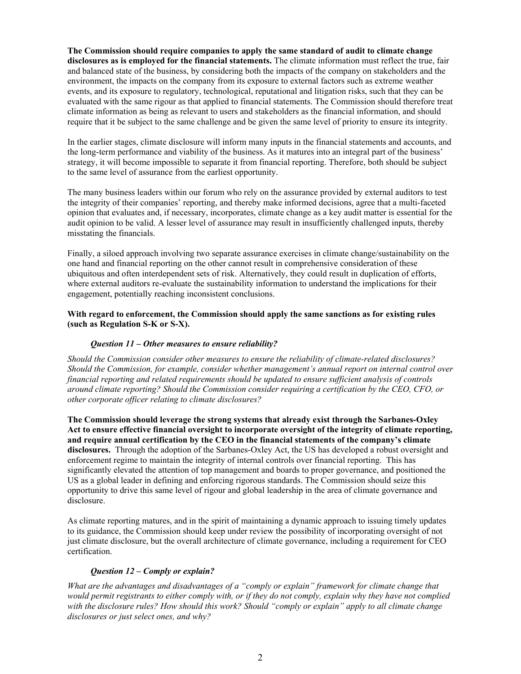**The Commission should require companies to apply the same standard of audit to climate change disclosures as is employed for the financial statements.** The climate information must reflect the true, fair and balanced state of the business, by considering both the impacts of the company on stakeholders and the environment, the impacts on the company from its exposure to external factors such as extreme weather events, and its exposure to regulatory, technological, reputational and litigation risks, such that they can be evaluated with the same rigour as that applied to financial statements. The Commission should therefore treat climate information as being as relevant to users and stakeholders as the financial information, and should require that it be subject to the same challenge and be given the same level of priority to ensure its integrity.

In the earlier stages, climate disclosure will inform many inputs in the financial statements and accounts, and the long-term performance and viability of the business. As it matures into an integral part of the business' strategy, it will become impossible to separate it from financial reporting. Therefore, both should be subject to the same level of assurance from the earliest opportunity.

The many business leaders within our forum who rely on the assurance provided by external auditors to test the integrity of their companies' reporting, and thereby make informed decisions, agree that a multi-faceted opinion that evaluates and, if necessary, incorporates, climate change as a key audit matter is essential for the audit opinion to be valid. A lesser level of assurance may result in insufficiently challenged inputs, thereby misstating the financials.

Finally, a siloed approach involving two separate assurance exercises in climate change/sustainability on the one hand and financial reporting on the other cannot result in comprehensive consideration of these ubiquitous and often interdependent sets of risk. Alternatively, they could result in duplication of efforts, where external auditors re-evaluate the sustainability information to understand the implications for their engagement, potentially reaching inconsistent conclusions.

# **With regard to enforcement, the Commission should apply the same sanctions as for existing rules (such as Regulation S-K or S-X).**

# *Question 11 – Other measures to ensure reliability?*

*Should the Commission consider other measures to ensure the reliability of climate-related disclosures? Should the Commission, for example, consider whether management's annual report on internal control over financial reporting and related requirements should be updated to ensure sufficient analysis of controls around climate reporting? Should the Commission consider requiring a certification by the CEO, CFO, or other corporate officer relating to climate disclosures?* 

**The Commission should leverage the strong systems that already exist through the Sarbanes-Oxley Act to ensure effective financial oversight to incorporate oversight of the integrity of climate reporting, and require annual certification by the CEO in the financial statements of the company's climate disclosures.** Through the adoption of the Sarbanes-Oxley Act, the US has developed a robust oversight and enforcement regime to maintain the integrity of internal controls over financial reporting. This has significantly elevated the attention of top management and boards to proper governance, and positioned the US as a global leader in defining and enforcing rigorous standards. The Commission should seize this opportunity to drive this same level of rigour and global leadership in the area of climate governance and disclosure.

As climate reporting matures, and in the spirit of maintaining a dynamic approach to issuing timely updates to its guidance, the Commission should keep under review the possibility of incorporating oversight of not just climate disclosure, but the overall architecture of climate governance, including a requirement for CEO certification.

# *Question 12 – Comply or explain?*

*What are the advantages and disadvantages of a "comply or explain" framework for climate change that would permit registrants to either comply with, or if they do not comply, explain why they have not complied with the disclosure rules? How should this work? Should "comply or explain" apply to all climate change disclosures or just select ones, and why?*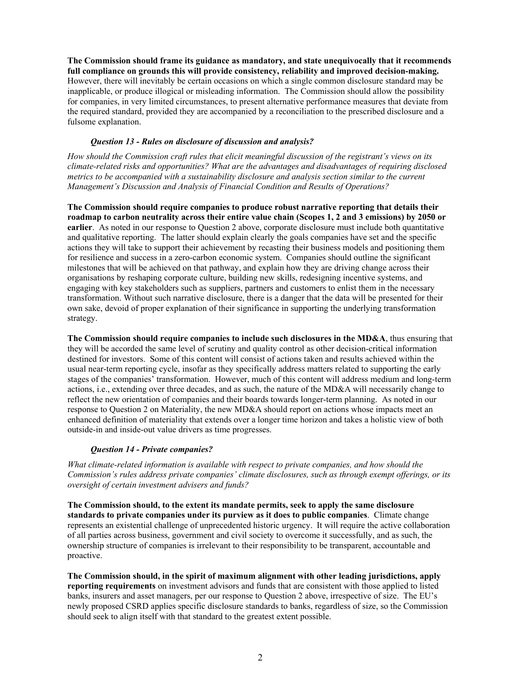**The Commission should frame its guidance as mandatory, and state unequivocally that it recommends full compliance on grounds this will provide consistency, reliability and improved decision-making.**  However, there will inevitably be certain occasions on which a single common disclosure standard may be inapplicable, or produce illogical or misleading information. The Commission should allow the possibility for companies, in very limited circumstances, to present alternative performance measures that deviate from the required standard, provided they are accompanied by a reconciliation to the prescribed disclosure and a fulsome explanation.

# *Question 13 - Rules on disclosure of discussion and analysis?*

*How should the Commission craft rules that elicit meaningful discussion of the registrant's views on its climate-related risks and opportunities? What are the advantages and disadvantages of requiring disclosed metrics to be accompanied with a sustainability disclosure and analysis section similar to the current Management's Discussion and Analysis of Financial Condition and Results of Operations?* 

**The Commission should require companies to produce robust narrative reporting that details their roadmap to carbon neutrality across their entire value chain (Scopes 1, 2 and 3 emissions) by 2050 or earlier**. As noted in our response to Question 2 above, corporate disclosure must include both quantitative and qualitative reporting. The latter should explain clearly the goals companies have set and the specific actions they will take to support their achievement by recasting their business models and positioning them for resilience and success in a zero-carbon economic system. Companies should outline the significant milestones that will be achieved on that pathway, and explain how they are driving change across their organisations by reshaping corporate culture, building new skills, redesigning incentive systems, and engaging with key stakeholders such as suppliers, partners and customers to enlist them in the necessary transformation. Without such narrative disclosure, there is a danger that the data will be presented for their own sake, devoid of proper explanation of their significance in supporting the underlying transformation strategy.

**The Commission should require companies to include such disclosures in the MD&A**, thus ensuring that they will be accorded the same level of scrutiny and quality control as other decision-critical information destined for investors. Some of this content will consist of actions taken and results achieved within the usual near-term reporting cycle, insofar as they specifically address matters related to supporting the early stages of the companies' transformation. However, much of this content will address medium and long-term actions, i.e., extending over three decades, and as such, the nature of the MD&A will necessarily change to reflect the new orientation of companies and their boards towards longer-term planning. As noted in our response to Question 2 on Materiality, the new MD&A should report on actions whose impacts meet an enhanced definition of materiality that extends over a longer time horizon and takes a holistic view of both outside-in and inside-out value drivers as time progresses.

# *Question 14 - Private companies?*

*What climate-related information is available with respect to private companies, and how should the Commission's rules address private companies' climate disclosures, such as through exempt offerings, or its oversight of certain investment advisers and funds?* 

**The Commission should, to the extent its mandate permits, seek to apply the same disclosure standards to private companies under its purview as it does to public companies**. Climate change represents an existential challenge of unprecedented historic urgency. It will require the active collaboration of all parties across business, government and civil society to overcome it successfully, and as such, the ownership structure of companies is irrelevant to their responsibility to be transparent, accountable and proactive.

**The Commission should, in the spirit of maximum alignment with other leading jurisdictions, apply reporting requirements** on investment advisors and funds that are consistent with those applied to listed banks, insurers and asset managers, per our response to Question 2 above, irrespective of size. The EU's newly proposed CSRD applies specific disclosure standards to banks, regardless of size, so the Commission should seek to align itself with that standard to the greatest extent possible.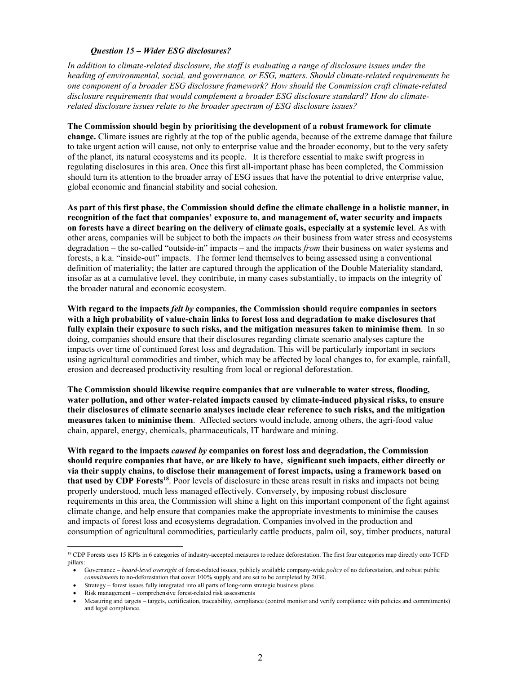### *Question 15 – Wider ESG disclosures?*

*In addition to climate-related disclosure, the staff is evaluating a range of disclosure issues under the heading of environmental, social, and governance, or ESG, matters. Should climate-related requirements be one component of a broader ESG disclosure framework? How should the Commission craft climate-related disclosure requirements that would complement a broader ESG disclosure standard? How do climaterelated disclosure issues relate to the broader spectrum of ESG disclosure issues?* 

#### **The Commission should begin by prioritising the development of a robust framework for climate**

**change.** Climate issues are rightly at the top of the public agenda, because of the extreme damage that failure to take urgent action will cause, not only to enterprise value and the broader economy, but to the very safety of the planet, its natural ecosystems and its people. It is therefore essential to make swift progress in regulating disclosures in this area. Once this first all-important phase has been completed, the Commission should turn its attention to the broader array of ESG issues that have the potential to drive enterprise value, global economic and financial stability and social cohesion.

**As part of this first phase, the Commission should define the climate challenge in a holistic manner, in recognition of the fact that companies' exposure to, and management of, water security and impacts on forests have a direct bearing on the delivery of climate goals, especially at a systemic level**. As with other areas, companies will be subject to both the impacts *on* their business from water stress and ecosystems degradation – the so-called "outside-in" impacts – and the impacts *from* their business on water systems and forests, a k.a. "inside-out" impacts. The former lend themselves to being assessed using a conventional definition of materiality; the latter are captured through the application of the Double Materiality standard, insofar as at a cumulative level, they contribute, in many cases substantially, to impacts on the integrity of the broader natural and economic ecosystem.

**With regard to the impacts** *felt by* **companies, the Commission should require companies in sectors with a high probability of value-chain links to forest loss and degradation to make disclosures that fully explain their exposure to such risks, and the mitigation measures taken to minimise them**. In so doing, companies should ensure that their disclosures regarding climate scenario analyses capture the impacts over time of continued forest loss and degradation. This will be particularly important in sectors using agricultural commodities and timber, which may be affected by local changes to, for example, rainfall, erosion and decreased productivity resulting from local or regional deforestation.

**The Commission should likewise require companies that are vulnerable to water stress, flooding, water pollution, and other water-related impacts caused by climate-induced physical risks, to ensure their disclosures of climate scenario analyses include clear reference to such risks, and the mitigation measures taken to minimise them**. Affected sectors would include, among others, the agri-food value chain, apparel, energy, chemicals, pharmaceuticals, IT hardware and mining.

**With regard to the impacts** *caused by* **companies on forest loss and degradation, the Commission should require companies that have, or are likely to have, significant such impacts, either directly or via their supply chains, to disclose their management of forest impacts, using a framework based on that used by CDP Forests18**. Poor levels of disclosure in these areas result in risks and impacts not being properly understood, much less managed effectively. Conversely, by imposing robust disclosure requirements in this area, the Commission will shine a light on this important component of the fight against climate change, and help ensure that companies make the appropriate investments to minimise the causes and impacts of forest loss and ecosystems degradation. Companies involved in the production and consumption of agricultural commodities, particularly cattle products, palm oil, soy, timber products, natural

<sup>&</sup>lt;sup>18</sup> CDP Forests uses 15 KPIs in 6 categories of industry-accepted measures to reduce deforestation. The first four categories map directly onto TCFD pillars:

Governance – *board-level oversight* of forest-related issues, publicly available company-wide *policy* of no deforestation, and robust public *commitments* to no-deforestation that cover 100% supply and are set to be completed by 2030.

Strategy – forest issues fully integrated into all parts of long-term strategic business plans

Risk management – comprehensive forest-related risk assessments

Measuring and targets – targets, certification, traceability, compliance (control monitor and verify compliance with policies and commitments) and legal compliance.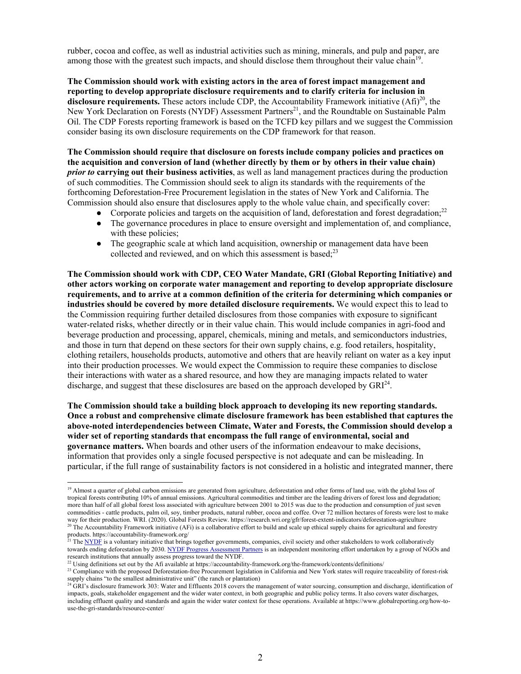rubber, cocoa and coffee, as well as industrial activities such as mining, minerals, and pulp and paper, are among those with the greatest such impacts, and should disclose them throughout their value chain<sup>19</sup>.

**The Commission should work with existing actors in the area of forest impact management and reporting to develop appropriate disclosure requirements and to clarify criteria for inclusion in disclosure requirements.** These actors include CDP, the Accountability Framework initiative  $(Af_i)^{20}$ , the New York Declaration on Forests (NYDF) Assessment Partners<sup>21</sup>, and the Roundtable on Sustainable Palm Oil. The CDP Forests reporting framework is based on the TCFD key pillars and we suggest the Commission consider basing its own disclosure requirements on the CDP framework for that reason.

**The Commission should require that disclosure on forests include company policies and practices on the acquisition and conversion of land (whether directly by them or by others in their value chain)**  *prior to* **carrying out their business activities**, as well as land management practices during the production of such commodities. The Commission should seek to align its standards with the requirements of the forthcoming Deforestation-Free Procurement legislation in the states of New York and California. The Commission should also ensure that disclosures apply to the whole value chain, and specifically cover:

- Corporate policies and targets on the acquisition of land, deforestation and forest degradation;<sup>22</sup>
- The governance procedures in place to ensure oversight and implementation of, and compliance, with these policies;
- The geographic scale at which land acquisition, ownership or management data have been collected and reviewed, and on which this assessment is based; $^{23}$

**The Commission should work with CDP, CEO Water Mandate, GRI (Global Reporting Initiative) and other actors working on corporate water management and reporting to develop appropriate disclosure requirements, and to arrive at a common definition of the criteria for determining which companies or industries should be covered by more detailed disclosure requirements.** We would expect this to lead to the Commission requiring further detailed disclosures from those companies with exposure to significant water-related risks, whether directly or in their value chain. This would include companies in agri-food and beverage production and processing, apparel, chemicals, mining and metals, and semiconductors industries, and those in turn that depend on these sectors for their own supply chains, e.g. food retailers, hospitality, clothing retailers, households products, automotive and others that are heavily reliant on water as a key input into their production processes. We would expect the Commission to require these companies to disclose their interactions with water as a shared resource, and how they are managing impacts related to water discharge, and suggest that these disclosures are based on the approach developed by  $GRI^{24}$ .

**The Commission should take a building block approach to developing its new reporting standards. Once a robust and comprehensive climate disclosure framework has been established that captures the above-noted interdependencies between Climate, Water and Forests, the Commission should develop a wider set of reporting standards that encompass the full range of environmental, social and governance matters.** When boards and other users of the information endeavour to make decisions, information that provides only a single focused perspective is not adequate and can be misleading. In particular, if the full range of sustainability factors is not considered in a holistic and integrated manner, there

<sup>&</sup>lt;sup>19</sup> Almost a quarter of global carbon emissions are generated from agriculture, deforestation and other forms of land use, with the global loss of tropical forests contributing 10% of annual emissions. Agricultural commodities and timber are the leading drivers of forest loss and degradation; more than half of all global forest loss associated with agriculture between 2001 to 2015 was due to the production and consumption of just seven commodities - cattle products, palm oil, soy, timber products, natural rubber, cocoa and coffee. Over 72 million hectares of forests were lost to make way for their production. WRI. (2020). Global Forests Review. https://r <sup>20</sup> The Accountability Framework initiative (AFi) is a collaborative effort to build and scale up ethical supply chains for agricultural and forestry products. https://accountability-framework.org/

<sup>&</sup>lt;sup>21</sup> The NYDF is a voluntary initiative that brings together governments, companies, civil society and other stakeholders to work collaboratively towards ending deforestation by 2030. NYDF Progress Assessment Partners is an independent monitoring effort undertaken by a group of NGOs and research institutions that annually assess progress toward the NYDF.

 $^{22}$  Using definitions set out by the Afi available at https://accountability-framework.org/the-framework/contents/definitions/

<sup>&</sup>lt;sup>23</sup> Compliance with the proposed Deforestation-free Procurement legislation in California and New York states will require traceability of forest-risk supply chains "to the smallest administrative unit" (the ranch or plantation)

<sup>&</sup>lt;sup>24</sup> GRI's disclosure framework 303: Water and Effluents 2018 covers the management of water sourcing, consumption and discharge, identification of impacts, goals, stakeholder engagement and the wider water context, in both geographic and public policy terms. It also covers water discharges, including effluent quality and standards and again the wider water context for these operations. Available at https://www.globalreporting.org/how-touse-the-gri-standards/resource-center/